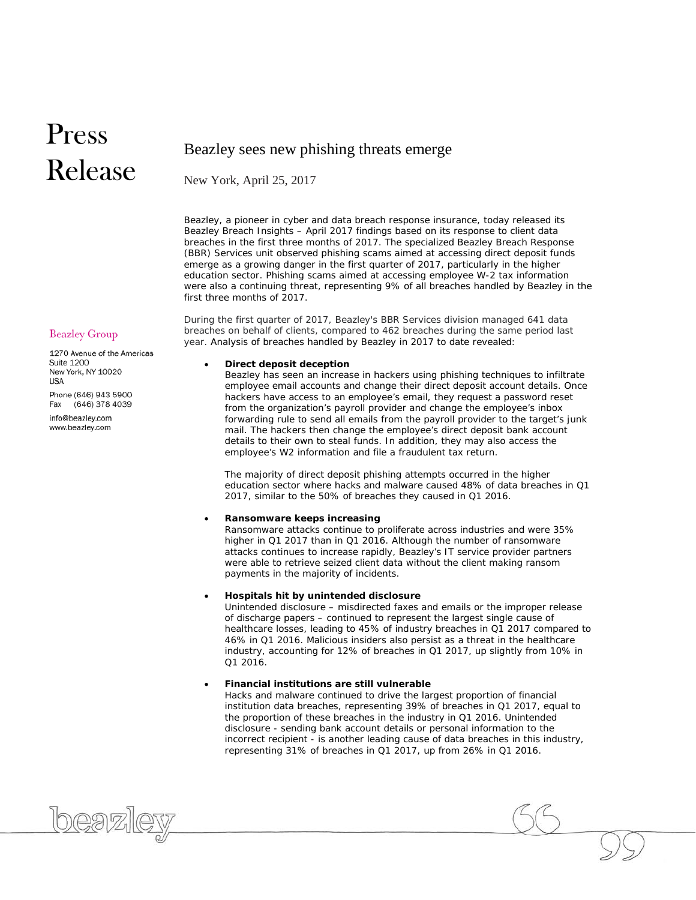# Press Release

# Beazley sees new phishing threats emerge

New York, April 25, 2017

Beazley, a pioneer in cyber and data breach response insurance, today released its Beazley Breach Insights – April 2017 findings based on its response to client data breaches in the first three months of 2017. The specialized Beazley Breach Response (BBR) Services unit observed phishing scams aimed at accessing direct deposit funds emerge as a growing danger in the first quarter of 2017, particularly in the higher education sector. Phishing scams aimed at accessing employee W-2 tax information were also a continuing threat, representing 9% of all breaches handled by Beazley in the first three months of 2017.

During the first quarter of 2017, Beazley's BBR Services division managed 641 data breaches on behalf of clients, compared to 462 breaches during the same period last year. Analysis of breaches handled by Beazley in 2017 to date revealed:

### • **Direct deposit deception**

Beazley has seen an increase in hackers using phishing techniques to infiltrate employee email accounts and change their direct deposit account details. Once hackers have access to an employee's email, they request a password reset from the organization's payroll provider and change the employee's inbox forwarding rule to send all emails from the payroll provider to the target's junk mail. The hackers then change the employee's direct deposit bank account details to their own to steal funds. In addition, they may also access the employee's W2 information and file a fraudulent tax return.

The majority of direct deposit phishing attempts occurred in the higher education sector where hacks and malware caused 48% of data breaches in Q1 2017, similar to the 50% of breaches they caused in Q1 2016.

#### • **Ransomware keeps increasing**

Ransomware attacks continue to proliferate across industries and were 35% higher in Q1 2017 than in Q1 2016. Although the number of ransomware attacks continues to increase rapidly, Beazley's IT service provider partners were able to retrieve seized client data without the client making ransom payments in the majority of incidents.

#### • **Hospitals hit by unintended disclosure**

Unintended disclosure – misdirected faxes and emails or the improper release of discharge papers – continued to represent the largest single cause of healthcare losses, leading to 45% of industry breaches in Q1 2017 compared to 46% in Q1 2016. Malicious insiders also persist as a threat in the healthcare industry, accounting for 12% of breaches in Q1 2017, up slightly from 10% in Q1 2016.

## • **Financial institutions are still vulnerable**

Hacks and malware continued to drive the largest proportion of financial institution data breaches, representing 39% of breaches in Q1 2017, equal to the proportion of these breaches in the industry in Q1 2016. Unintended disclosure - sending bank account details or personal information to the incorrect recipient - is another leading cause of data breaches in this industry, representing 31% of breaches in Q1 2017, up from 26% in Q1 2016.

### **Beazley Group**

1270 Avenue of the Americas **Suite 1200** New York, NY 10020 **USA** 

Phone (646) 943 5900 Fax (646) 378 4039

beazi

info@beazley.com www.beazley.com